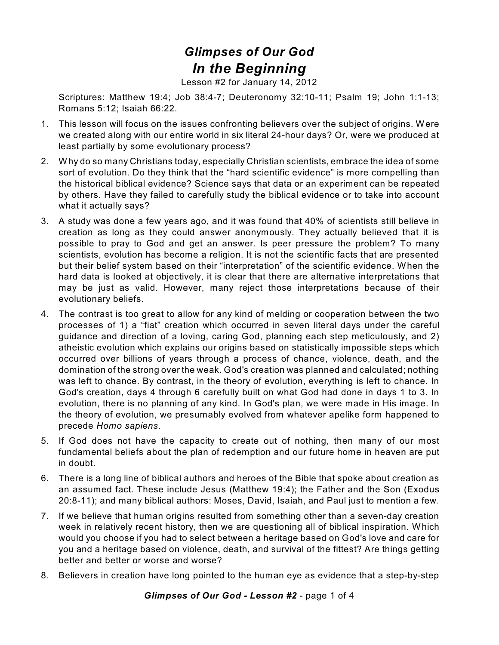## *Glimpses of Our God In the Beginning*

Lesson #2 for January 14, 2012

Scriptures: Matthew 19:4; Job 38:4-7; Deuteronomy 32:10-11; Psalm 19; John 1:1-13; Romans 5:12; Isaiah 66:22.

- 1. This lesson will focus on the issues confronting believers over the subject of origins. Were we created along with our entire world in six literal 24-hour days? Or, were we produced at least partially by some evolutionary process?
- 2. Why do so many Christians today, especially Christian scientists, embrace the idea of some sort of evolution. Do they think that the "hard scientific evidence" is more compelling than the historical biblical evidence? Science says that data or an experiment can be repeated by others. Have they failed to carefully study the biblical evidence or to take into account what it actually says?
- 3. A study was done a few years ago, and it was found that 40% of scientists still believe in creation as long as they could answer anonymously. They actually believed that it is possible to pray to God and get an answer. Is peer pressure the problem? To many scientists, evolution has become a religion. It is not the scientific facts that are presented but their belief system based on their "interpretation" of the scientific evidence. When the hard data is looked at objectively, it is clear that there are alternative interpretations that may be just as valid. However, many reject those interpretations because of their evolutionary beliefs.
- 4. The contrast is too great to allow for any kind of melding or cooperation between the two processes of 1) a "fiat" creation which occurred in seven literal days under the careful guidance and direction of a loving, caring God, planning each step meticulously, and 2) atheistic evolution which explains our origins based on statistically impossible steps which occurred over billions of years through a process of chance, violence, death, and the domination of the strong over the weak. God's creation was planned and calculated; nothing was left to chance. By contrast, in the theory of evolution, everything is left to chance. In God's creation, days 4 through 6 carefully built on what God had done in days 1 to 3. In evolution, there is no planning of any kind. In God's plan, we were made in His image. In the theory of evolution, we presumably evolved from whatever apelike form happened to precede *Homo sapiens*.
- 5. If God does not have the capacity to create out of nothing, then many of our most fundamental beliefs about the plan of redemption and our future home in heaven are put in doubt.
- 6. There is a long line of biblical authors and heroes of the Bible that spoke about creation as an assumed fact. These include Jesus (Matthew 19:4); the Father and the Son (Exodus 20:8-11); and many biblical authors: Moses, David, Isaiah, and Paul just to mention a few.
- 7. If we believe that human origins resulted from something other than a seven-day creation week in relatively recent history, then we are questioning all of biblical inspiration. Which would you choose if you had to select between a heritage based on God's love and care for you and a heritage based on violence, death, and survival of the fittest? Are things getting better and better or worse and worse?
- 8. Believers in creation have long pointed to the human eye as evidence that a step-by-step

*Glimpses of Our God - Lesson #2* - page 1 of 4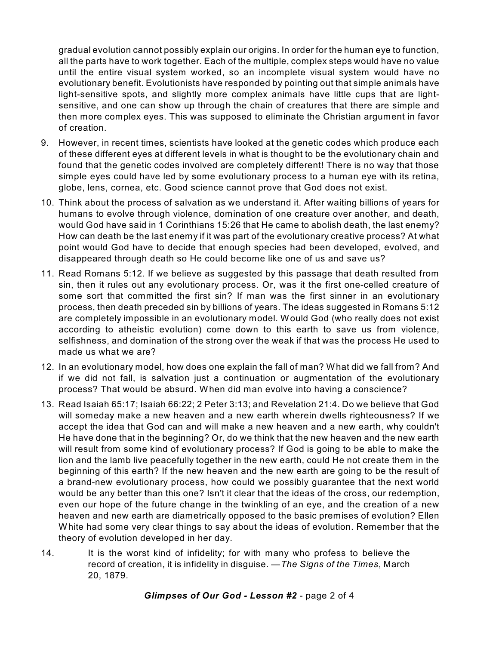gradual evolution cannot possibly explain our origins. In order for the human eye to function, all the parts have to work together. Each of the multiple, complex steps would have no value until the entire visual system worked, so an incomplete visual system would have no evolutionary benefit. Evolutionists have responded by pointing out that simple animals have light-sensitive spots, and slightly more complex animals have little cups that are lightsensitive, and one can show up through the chain of creatures that there are simple and then more complex eyes. This was supposed to eliminate the Christian argument in favor of creation.

- 9. However, in recent times, scientists have looked at the genetic codes which produce each of these different eyes at different levels in what is thought to be the evolutionary chain and found that the genetic codes involved are completely different! There is no way that those simple eyes could have led by some evolutionary process to a human eye with its retina, globe, lens, cornea, etc. Good science cannot prove that God does not exist.
- 10. Think about the process of salvation as we understand it. After waiting billions of years for humans to evolve through violence, domination of one creature over another, and death, would God have said in 1 Corinthians 15:26 that He came to abolish death, the last enemy? How can death be the last enemy if it was part of the evolutionary creative process? At what point would God have to decide that enough species had been developed, evolved, and disappeared through death so He could become like one of us and save us?
- 11. Read Romans 5:12. If we believe as suggested by this passage that death resulted from sin, then it rules out any evolutionary process. Or, was it the first one-celled creature of some sort that committed the first sin? If man was the first sinner in an evolutionary process, then death preceded sin by billions of years. The ideas suggested in Romans 5:12 are completely impossible in an evolutionary model. Would God (who really does not exist according to atheistic evolution) come down to this earth to save us from violence, selfishness, and domination of the strong over the weak if that was the process He used to made us what we are?
- 12. In an evolutionary model, how does one explain the fall of man? What did we fall from? And if we did not fall, is salvation just a continuation or augmentation of the evolutionary process? That would be absurd. When did man evolve into having a conscience?
- 13. Read Isaiah 65:17; Isaiah 66:22; 2 Peter 3:13; and Revelation 21:4. Do we believe that God will someday make a new heaven and a new earth wherein dwells righteousness? If we accept the idea that God can and will make a new heaven and a new earth, why couldn't He have done that in the beginning? Or, do we think that the new heaven and the new earth will result from some kind of evolutionary process? If God is going to be able to make the lion and the lamb live peacefully together in the new earth, could He not create them in the beginning of this earth? If the new heaven and the new earth are going to be the result of a brand-new evolutionary process, how could we possibly guarantee that the next world would be any better than this one? Isn't it clear that the ideas of the cross, our redemption, even our hope of the future change in the twinkling of an eye, and the creation of a new heaven and new earth are diametrically opposed to the basic premises of evolution? Ellen White had some very clear things to say about the ideas of evolution. Remember that the theory of evolution developed in her day.
- 14. It is the worst kind of infidelity; for with many who profess to believe the record of creation, it is infidelity in disguise. —*The Signs of the Times*, March 20, 1879.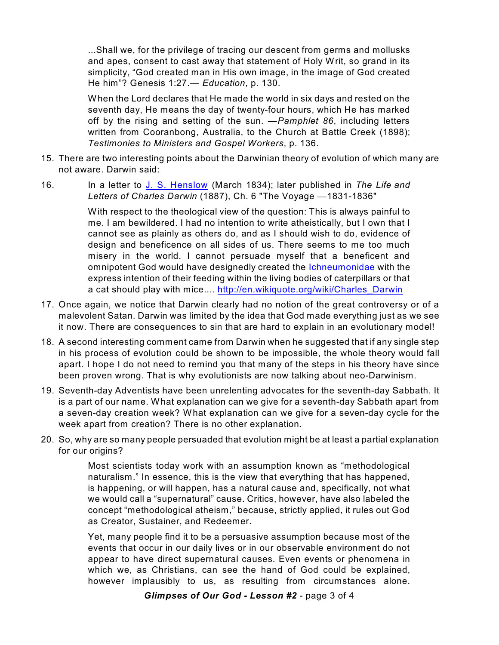...Shall we, for the privilege of tracing our descent from germs and mollusks and apes, consent to cast away that statement of Holy Writ, so grand in its simplicity, "God created man in His own image, in the image of God created He him"? Genesis 1:27.— *Education*, p. 130.

When the Lord declares that He made the world in six days and rested on the seventh day, He means the day of twenty-four hours, which He has marked off by the rising and setting of the sun. —*Pamphlet 86*, including letters written from Cooranbong, Australia, to the Church at Battle Creek (1898); *Testimonies to Ministers and Gospel Workers*, p. 136.

- 15. There are two interesting points about the Darwinian theory of evolution of which many are not aware. Darwin said:
- 16. In a letter to J. S. [Henslow](http:////en.wikipedia.org/wiki/John_Stevens_Henslow) (March 1834); later published in *The Life and Letters of Charles Darwin* (1887), Ch. 6 "The Voyage —1831-1836"

With respect to the theological view of the question: This is always painful to me. I am bewildered. I had no intention to write atheistically, but I own that I cannot see as plainly as others do, and as I should wish to do, evidence of design and beneficence on all sides of us. There seems to me too much misery in the world. I cannot persuade myself that a beneficent and omnipotent God would have designedly created the [Ichneumonidae](http:////en.wikipedia.org/wiki/Ichneumonidae) with the express intention of their feeding within the living bodies of caterpillars or that a cat should play with mice.... [http://en.wikiquote.org/wiki/Charles\\_Darwin](http://en.wikiquote.org/wiki/Charles_Darwin)

- 17. Once again, we notice that Darwin clearly had no notion of the great controversy or of a malevolent Satan. Darwin was limited by the idea that God made everything just as we see it now. There are consequences to sin that are hard to explain in an evolutionary model!
- 18. A second interesting comment came from Darwin when he suggested that if any single step in his process of evolution could be shown to be impossible, the whole theory would fall apart. I hope I do not need to remind you that many of the steps in his theory have since been proven wrong. That is why evolutionists are now talking about neo-Darwinism.
- 19. Seventh-day Adventists have been unrelenting advocates for the seventh-day Sabbath. It is a part of our name. What explanation can we give for a seventh-day Sabbath apart from a seven-day creation week? What explanation can we give for a seven-day cycle for the week apart from creation? There is no other explanation.
- 20. So, why are so many people persuaded that evolution might be at least a partial explanation for our origins?

Most scientists today work with an assumption known as "methodological naturalism." In essence, this is the view that everything that has happened, is happening, or will happen, has a natural cause and, specifically, not what we would call a "supernatural" cause. Critics, however, have also labeled the concept "methodological atheism," because, strictly applied, it rules out God as Creator, Sustainer, and Redeemer.

Yet, many people find it to be a persuasive assumption because most of the events that occur in our daily lives or in our observable environment do not appear to have direct supernatural causes. Even events or phenomena in which we, as Christians, can see the hand of God could be explained, however implausibly to us, as resulting from circumstances alone.

*Glimpses of Our God - Lesson #2* - page 3 of 4